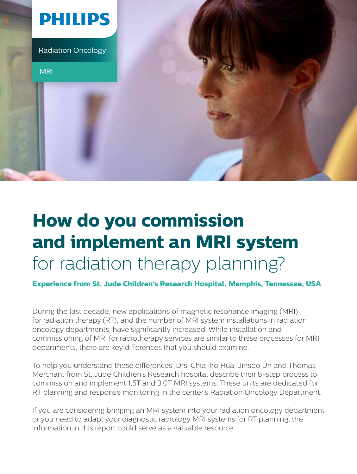

# **How do you commission and implement an MRI system** for radiation therapy planning?

**Experience from St. Jude Children's Research Hospital, Memphis, Tennessee, USA**

During the last decade, new applications of magnetic resonance imaging (MRI) for radiation therapy (RT), and the number of MRI system installations in radiation oncology departments, have significantly increased. While installation and commissioning of MRI for radiotherapy services are similar to these processes for MRI departments, there are key differences that you should examine.

To help you understand these differences, Drs. Chia-ho Hua, Jinsoo Uh and Thomas Merchant from St. Jude Children's Research hospital describe their 8-step process to commission and implement 1.5T and 3.0T MRI systems. These units are dedicated for RT planning and response monitoring in the center's Radiation Oncology Department.

If you are considering bringing an MRI system into your radiation oncology department or you need to adapt your diagnostic radiology MRI systems for RT planning, the information in this report could serve as a valuable resource.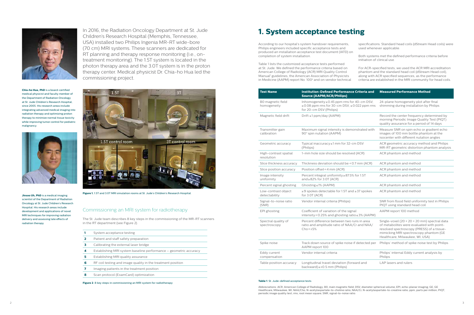



**Chia-ho Hua, PhD** is a board-certified medical physicist and faculty member of the Department of Radiation Oncology at St. Jude Children's Research Hospital, since 2005. His research areas include integrating advanced medical imaging into radiation therapy and optimizing proton therapy to minimize normal tissue toxicity while improving tumor control for pediatric malignancy.



**Jinsoo Uh, PhD** is a medical imaging scientist of the Department of Radiation Oncology at St. Jude Children's Research Hospital. His research areas include development and applications of novel MRI techniques for improving radiation delivery and assessing late effects of radiation therapy.

- **2** Patient and staff safety preparation
- **3** Calibrating the external laser bridge
- **4** Establishing MRI system baseline performance geometric accuracy
- **5** Establishing MRI quality assurance
- **6** RF coil testing and image quality in the treatment position
- **7** Imaging patients in the treatment position
- **8** Scan protocol (ExamCard) optimization

**Figure 1.** 1.5T and 3.0T MRI simulation rooms at St. Jude's Children's Research Hospital.

In 2016, the Radiation Oncology Department at St. Jude Children's Research Hospital (Memphis, Tennessee, USA) installed two Philips Ingenia MR-RT wide-bore (70 cm) MRI systems. These scanners are dedicated for RT planning and therapy response monitoring (i.e., ontreatment monitoring). The 1.5T system is located in the photon therapy area and the 3.0T system is in the proton therapy center. Medical physicist Dr. Chia-ho Hua led the commissioning project.



Table 1 lists the customized acceptance tests performed at St. Jude. We defined the performance criteria based on American College of Radiology (ACR) MRI Quality Control Manual<sup>1</sup> guidelines, the American Association of Physicists in Medicine (AAPM) report No. 100<sup>2</sup> and on vendor technical

#### Commissioning an MRI system for radiotherapy

The St. Jude team describes 8 key steps in the commissioning of the MR-RT scanners in the RT department (see Figure 2).

|  | System acceptance testing |  |
|--|---------------------------|--|
|--|---------------------------|--|

**Figure 2**. 8 key steps in commissioning an MRI system for radiotherapy

According to our hospital's system handover requirements, Philips engineers included specific acceptance tests and produced an installation acceptance test document (IATD) on completion of system installation.

specifications. Standard head coils (dStream Head coils) were used whenever applicable.

Both systems met the defined performance criteria before initiation of clinical use.

For ACR-specified tests, we used the ACR MRI accreditation phantom and the standard head coil (dStream Head coil), along with ACR specified sequences, as the performance criteria are established in the MRI community for head coils.

| <b>Test Name</b>                     | <b>Institution-Defined Performance Criteria and</b><br><b>Source (AAPM/ACR/Philips)</b>                                  | <b>Measured Performance Method</b>                                                                                                                                                                                                 |
|--------------------------------------|--------------------------------------------------------------------------------------------------------------------------|------------------------------------------------------------------------------------------------------------------------------------------------------------------------------------------------------------------------------------|
| B0 magnetic field<br>homogeneity     | Inhomogeneity ≤ 0.45 ppm rms for 40-cm DSV,<br>≤0.08 ppm rms for 30-cm DSV, $≤$ 0.022 ppm rms<br>for 20-cm DSV (Philips) | 24-plane homogeneity plot after final<br>shimming during installation by Philips                                                                                                                                                   |
| Magnetic field drift                 | Drift ≤1 ppm/day (AAPM)                                                                                                  | Record the center frequency determined by<br>morning Periodic Image Quality Test (PIQT)<br>quality assurance for a period of 14 days                                                                                               |
| Transmitter gain<br>calibration      | Maximum signal intensity is demonstrated with<br>90° spin nutation (AAPM)                                                | Measure SNR on spin echo or gradient echo<br>images of 100 mm bottle phantom at the<br>isocenter with different nutation angles                                                                                                    |
| Geometric accuracy                   | Typical inaccuracy ≤1 mm for 32-cm DSV<br>(Philips)                                                                      | ACR geometric accuracy method and Philips<br>MR-RT geometric distortion phantom analysis                                                                                                                                           |
| High-contrast spatial<br>resolution  | 1-mm hole size should be resolved (ACR)                                                                                  | ACR phantom and method                                                                                                                                                                                                             |
| Slice thickness accuracy             | Thickness deviation should be < 0.7 mm (ACR)                                                                             | ACR phantom and method                                                                                                                                                                                                             |
| Slice position accuracy              | Position offset<4 mm (ACR)                                                                                               | ACR phantom and method                                                                                                                                                                                                             |
| Image intensity<br>uniformity        | Percent integral uniformity ≥87.5% for 1.5T<br>and $\geq$ 82% for 3.0T (ACR)                                             | ACR phantom and method                                                                                                                                                                                                             |
| Percent signal ghosting              | Ghosting≤1% (AAPM)                                                                                                       | ACR phantom and method                                                                                                                                                                                                             |
| Low-contrast object<br>detectability | ≥9 spokes detectable for 1.5T and ≥37 spokes<br>for 3.0T (ACR)                                                           | ACR phantom and method                                                                                                                                                                                                             |
| Signal-to-noise ratio<br>(SNR)       | Vendor internal criteria (Philips)                                                                                       | SNR from flood field uniformity test in Philips<br>PIQT using standard head coil                                                                                                                                                   |
| EPI ghosting                         | Coefficient of variation of the signal<br>intensity < 0.25% and ghosting ratio ≤ 3% (AAPM)                               | AAPM report 100 method                                                                                                                                                                                                             |
| Spectral quality of<br>spectroscopy  | Percent difference between two runs in area<br>ratio and amplitude ratio of NAA/Cr and NAA/<br>$Cho<\pm 5\%$             | Single-voxel (20 $\times$ 20 $\times$ 20 mm) spectral data<br>of metabolites were evaluated with point-<br>resolved spectroscopy (PRESS) of a tissue-<br>mimicking MRI spectroscopy phantom (GE<br>Healthcare, Milwaukee, WI, USA) |
| Spike noise                          | Track down source of spike noise if detected per<br>AAPM report 100                                                      | Philips' method of spike noise test by Philips                                                                                                                                                                                     |
| Eddy current<br>compensation         | Vendor internal criteria                                                                                                 | Philips' internal Eddy current analysis by<br>Philips                                                                                                                                                                              |
| Table position accuracy              | Longitudinal travel deviation (forward and<br>backward) $\leq \pm 0.5$ mm (Philips)                                      | LAP lasers and rulers                                                                                                                                                                                                              |

#### **1. System acceptance testing**

#### **Table 1**. St. Jude-defined acceptance tests

Abbreviations: ACR, American College of Radiology; B0, main magnetic field; DSV, diameter spherical volume; EPI, echo-planar imaging; GE, GE Healthcare, Milwaukee, WI; NAA/Cho, N-acetylaspartate-to-choline ratio; NAA/Cr, N-acetylaspartate-to-creatine ratio; ppm, parts per million; PIQT, periodic image quality test; rms, root mean square; SNR, signal-to-noise ratio.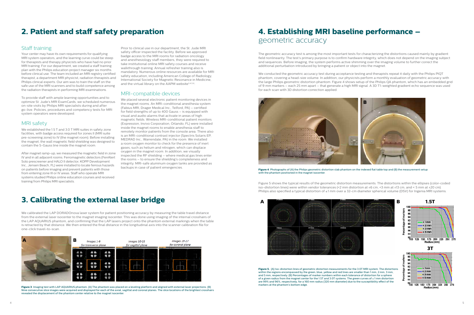## **2. Patient and staff safety preparation**

## **3. Calibrating the external laser bridge**

## **4. Establishing MRI baseline performance –**  geometric accuracy

#### Staff training

Your center may have its own requirements for qualifying MRI system operators, and the learning curve could be steep for therapists and therapy physicists who have had no prior MRI training. For our department, we created a staff training plan with the Philips education project manager six months before clinical use. The team included an MRI registry certified therapist, a department MRI physicist, radiation therapists and Philips clinical experts. Our aim was to train the staff on the safe use of the MRI scanners and to build competence among the radiation therapists in performing MRI examinations.

To provide staff with ample learning opportunities and to optimize St. Jude's MRI ExamCards, we scheduled numerous on-site visits by Philips MRI specialists during and after go-live. Policies, procedures and competency tests for MRI system operators were developed.

Prior to clinical use in our department, the St. Jude MRI safety officer inspected the facility. Before we approved badge access to the MRI rooms for radiation oncology and anesthesiology staff members, they were required to take institutional online MRI safety courses and receive walkthrough training. Annual refresher training also is mandatory. Numerous online resources are available for MRI safety education, including American College of Radiology, International Society for Magnetic Resonance in Medicine, and the virtual library on the AAPM website<sup>3,4,5,6</sup>.

#### MRI safety

We established the 1.5 T and 3.0 T MRI suites in safety zone facilities, with badge access required for zones II (MRI suite pre-screening zone) to IV (the magnet room). Before installing the magnet, the wall magnetic field shielding was designed to contain the 5-Gauss line inside the magnet room.

After magnet ramp-up, we measured the magnetic field in zone IV and in all adjacent rooms. Ferromagnetic detectors (FerrAlert Solo prescreener and HALO II detector, KOPP Development Inc., Jensen Beach, FL) were installed to locate ferrous hazards on patients before imaging and prevent patients with those from entering zone III or IV areas. Staff who operate MRI systems studied Philips online education courses and received training from Philips MRI specialists.

We calibrated the LAP DORADOnova laser system for patient positioning accuracy by measuring the table travel distance from the external laser isocenter to the magnet imaging isocenter. This was done using imaging of the internal crosshairs of the LAP AQUARIUS phantom, and confirming that the LAP lasers project onto the phantom external markings when the table is retracted by that distance. We then entered the final distance in the longitudinal axis into the scanner calibration file for one-click travel-to-scan.

#### MRI-compatible devices

We placed several electronic patient monitoring devices in the magnet rooms. An MRI-conditional anesthesia system (Fabius MRI, Drager Medical Inc., Telford, PA) – certified for field strengths of up to 400 Gauss – is equipped with visual and audio alarms that activate in areas of high magnetic fields. Wireless MRI-conditional patient monitors (Expression, Invivo Corporation, Orlando, FL) were installed inside the magnet rooms to enable anesthesia staff to remotely monitor patients from the console area. There also is an MRI-conditional contrast injector (Spectris Solaris EP, MEDRAD Inc., Warrendale, PA) in the room. We installed a room oxygen monitor to check for the presence of inert gases, such as helium and nitrogen, which can displace oxygen in the magnet room. In addition, we visually inspected the RF shielding – where medical gas lines enter the rooms – to ensure the shielding's completeness and integrity. MRI-safe aluminum oxygen tanks are provided as backups in case of patient emergencies.

> Figure 5 shows the typical results of the geometric distortion measurements. The distortions within the ellipses (color-coded iso-distortion lines) were within vendor tolerances (<2 mm distortion at ±6 cm, <3 mm at ±13 cm, and < 5 mm at ±20 cm). Philips also specified a typical distortion of ≤1 mm over a 32-cm diameter spherical volume (DSV) for Ingenia MRI systems.



**Figure 4**. Photographs of (A) the Philips geometric distortion slab phantom on the indexed flat table top and (B) the measurement setup with the phantom positioned in the magnet isocenter.

**Figure 3**. Imaging test with LAP AQUARIUS phantom. (A) The phantom was placed on a leveling platform and aligned with external laser projections. (B) Nine consecutive slice images were acquired and displayed for each of the axial, sagittal and coronal planes. The slice locations of the brightest crosshairs revealed the displacement of the phantom center relative to the magnet isocenter.

**Figure 5.** (A) Iso-distortion lines of geometric distortion measurements for the 3.0T MRI system. The distortions within the regions encompassed by the green, blue, yellow and red lines are smaller than 1 mm, 2 mm, 3 mm, and 5 mm, respectively. (B) Percentages of marker numbers within each tolerance of distortion for a sphere of a given radius from the magnet center for the 1.5T and 3.0T systems. The green curves of ≤ 1 mm distortion are 99% and 96%, respectively, for a 160 mm radius (320 mm diameter) due to the susceptibility effect of the markers at the phantom's bottom edge.

The geometric accuracy test is among the most important tests for characterizing the distortions caused mainly by gradient field nonlinearity. The test's primary purpose is to confirm hardware integrity, which does not depend on the imaging subject and sequences. Before imaging, the system performs active shimming over the imaging volume to further correct the additional perturbation introduced by bringing a patient or object into the magnet.

We conducted the geometric accuracy test during acceptance testing and therapists repeat it daily with the Philips PIQT phantom, covering a head-size volume. In addition, our physicists perform a monthly evaluation of geometric accuracy with the large Philips geometric distortion phantom. Figure 4 shows setup of the Philips QA phantom, which has an embedded grid of 9 mm markers – each 25 mm apart – that generate a high MRI signal. A 3D T1-weighted gradient echo sequence was used for each scan with 3D distortion correction applied.





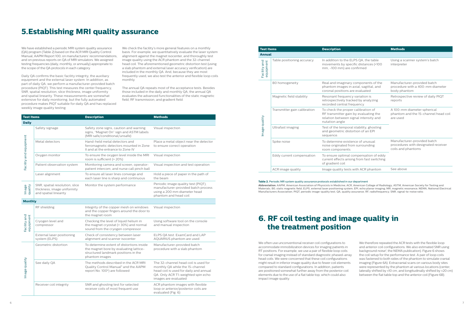

### **5.Establishing MRI quality assurance**

## **6. RF coil testing and image quality in the treatment position**

We have established a periodic MRI system quality assurance (QA) program (Table 2) based on the ACR MRI Quality Control Manual, AAPM Report 100, on manufacturers' recommendations, and on previous reports on QA of MRI simulators. We assigned testing frequencies (daily, monthly, or annually) appropriate to the scope of the QA protocols in each category.

Daily QA confirms the basic facility integrity, the auxiliary equipment and the external laser system. In addition, as part of daily QA, we perform a manufacturer-provided batch procedure (PIQT). This test measures the center frequency, SNR, spatial resolution, slice thickness, image uniformity and spatial linearity. These measurements are somewhat extensive for daily monitoring, but the fully automated procedure makes PIQT suitable for daily QA and has replaced weekly image quality testing.

We check the facility's more general features on a monthly basis. For example, we quantitatively evaluate the laser system alignment against the magnet isocenter, and thoroughly test image quality using the ACR phantom and the 32-channel head coil. The aforementioned geometric distortion test (using a slab phantom and external laser accuracy verification) are included in the monthly QA. And, because they are most frequently used, we also test the anterior and flexible loop coils monthly.

The annual QA repeats most of the acceptance tests. Besides those included in the daily and monthly QA, the annual QA evaluates the advanced functionalities of the static magnetic field, RF transmission, and gradient field.

> We often use unconventional receiver coil configurations to accommodate immobilization devices for imaging patients in RT positions. For example, we use a pair of flexible loop coils for cranial imaging instead of standard diagnostic phased-array head coils. We were concerned that these coil configurations might result in inferior image quality due to fewer coil elements compared to standard configurations. In addition, patients are positioned somewhat further away from the posterior coil elements due to the use of a flat table top, which could also impact image quality.

We therefore repeated the ACR tests with the flexible loop and anterior coil configurations. We also estimated SNR using background noise7 , the NEMA publication). Figure 6 shows the coil setup for the performance test. A pair of loop coils was fastened to both sides of the phantom to simulate cranial imaging (Figure 6A). Extracranial scans on various body sites were represented by the phantom at various locations (center, laterally shifted by  $\pm 10$  cm, and longitudinally shifted by  $\pm 20$  cm) between the flat table top and the anterior coil (Figure 6B).

| <b>Test Items</b>         |                                                                                        | <b>Description</b>                                                                                                                            | <b>Methods</b>                                                                                                                                                                  |  |  |  |
|---------------------------|----------------------------------------------------------------------------------------|-----------------------------------------------------------------------------------------------------------------------------------------------|---------------------------------------------------------------------------------------------------------------------------------------------------------------------------------|--|--|--|
| <b>Daily</b>              |                                                                                        |                                                                                                                                               |                                                                                                                                                                                 |  |  |  |
| Facility and equipment    | Safety signage                                                                         | Safety zone signs, caution and warning<br>signs, "Magnet On" sign and ASTM labels<br>(MRI safe/conditional/unsafe)                            | Visual inspection                                                                                                                                                               |  |  |  |
|                           | Metal detectors                                                                        | Hand-held metal detectors and<br>ferromagnetic detectors mounted in Zone<br>II and at the entrance to Zone IV                                 | Place a metal object near the detector<br>to ensure correct operation                                                                                                           |  |  |  |
|                           | Oxygen monitor                                                                         | To ensure the oxygen level inside the MRI<br>room is sufficient (> 20%)                                                                       | Visual inspection                                                                                                                                                               |  |  |  |
|                           | Patient observation system                                                             | Monitoring camera and screen, operator-<br>patient intercom, and nurse call pinch ball                                                        | Visual inspection and test operation                                                                                                                                            |  |  |  |
|                           | Laser alignment                                                                        | To ensure all laser lines converge and<br>each laser line is sharp and continuous                                                             | Hold a piece of paper in the path of<br>the beam                                                                                                                                |  |  |  |
| Image<br>quality          | SNR, spatial resolution, slice<br>thickness, image uniformity<br>and spatial linearity | Monitor the system performance                                                                                                                | Periodic image quality test (PIQT),<br>manufacturer-provided batch process<br>using a 200 mm diameter head<br>phantom and head coil                                             |  |  |  |
| <b>Monthly</b>            |                                                                                        |                                                                                                                                               |                                                                                                                                                                                 |  |  |  |
| Facility and<br>equipment | RF shielding                                                                           | Integrity of the copper mesh on windows<br>and the copper fingers around the door to<br>the magnet room                                       | Visual inspection                                                                                                                                                               |  |  |  |
|                           | Cryogen level and<br>compressor                                                        | Checking the level of liquid helium in<br>the magnet cryostat (> 30%) and normal<br>sound from the cryogen compressor                         | Using software tool on the console<br>and manual inspection                                                                                                                     |  |  |  |
|                           | External laser positioning<br>system (ELPS)                                            | Check of consistency between laser<br>alignment and scanner isocenter                                                                         | ELPS QA test: ExamCard and LAP<br>AQUARIUS phantom are used.                                                                                                                    |  |  |  |
| Image quality             | Geometric distortion                                                                   | To determine extent of distortions inside<br>the magnet bore by evaluating lattice-<br>structured landmark positions in the<br>phantom images | Manufacturer-provided batch<br>procedure with a slab phantom                                                                                                                    |  |  |  |
|                           | See daily QA                                                                           | The methods described in the ACR MRI<br>Quality Control Manual <sup>5</sup> and the AAPM<br>report No. 100 <sup>6</sup> ) are followed        | The 32-channel head coil is used for<br>monthly QA while the 15-channel<br>head coil is used for daily and annual<br>QA. Only ACR T1-weighted spin echo<br>images are evaluated |  |  |  |
|                           | Receiver coil integrity                                                                | SNR and ghosting test for selected<br>receiver coils of most frequent use                                                                     | ACR phantom images with flexible<br>loop or anterior/posterior coils are<br>evaluated (Fig. 6)                                                                                  |  |  |  |

| <b>Test Items</b>         |                              | <b>Description</b>                                                                                                                     | <b>Methods</b>                                                                           |
|---------------------------|------------------------------|----------------------------------------------------------------------------------------------------------------------------------------|------------------------------------------------------------------------------------------|
| <b>Annual</b>             |                              |                                                                                                                                        |                                                                                          |
| Facility and<br>equipment | Table positioning accuracy   | In addition to the ELPS QA, the table<br>movements by specific distances (+100<br>mm, -100 mm) are confirmed                           | Using a scanner system's batch<br>interpreter                                            |
| Image quality             | B0 homogeneity               | Real and imaginary components of the<br>phantom images in axial, sagittal, and<br>coronal positions are evaluated                      | Manufacturer-provided batch<br>procedure with a 400-mm diameter<br>body phantom          |
|                           | Magnetic field stability     | Resonant frequency variation is<br>retrospectively tracked by analyzing<br>recorded central frequency                                  | Retrospective review of daily PIQT<br>reports                                            |
|                           | Transmitter gain calibration | To check the proper calibration of<br>RF transmitter gain by evaluating the<br>relation between signal intensity and<br>nutation angle | A 100-mm diameter spherical<br>phantom and the 15-channel head coil<br>are used          |
|                           | Ultrafast imaging            | Test of the temporal stability, ghosting<br>and geometric distortion of an EPI<br>sequence.                                            |                                                                                          |
|                           | Spike noise                  | To determine existence of unusual<br>noise originated from surrounding<br>room components                                              | Manufacturer-provided batch<br>procedures with designated receiver<br>coils and phantoms |
|                           | Eddy current compensation    | To ensure optimal compensation of eddy<br>current effects arising from fast switching<br>of gradient coil                              |                                                                                          |
|                           | ACR image quality            | Image quality tests with ACR phantom                                                                                                   | See above                                                                                |

**Table 2.** Periodic MR system quality assurance protocols established in our department **Abbreviation:** AAPM, American Association of Physicists in Medicine; ACR, American College of Radiology; ASTM, American Society for Testing and Materials; B0, static magnetic field; ELPS, external laser positioning system; EPI, echo planar imaging; MR, magnetic resonance; NEMA, National Electrical Manufacturers Association; PIQT, periodic image-quality test; QA, quality assurance; RF, radiofrequency; SNR, signal-to-noise ratio.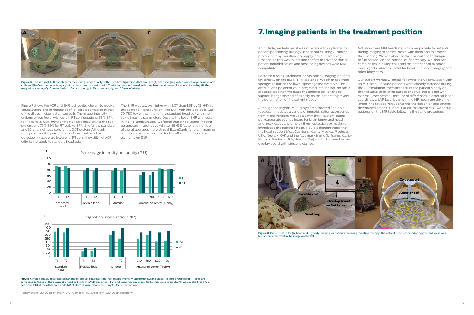

**Figure 6.** The setup of ACR phantom for measuring image quality with RT coil configurations that emulate (A) head imaging with a pair of large flexible loop coils and (B-C) extracranial imaging with anterior and posterior coils. The latter was performed with the phantom at several locations, including (B) the magnet isocenter, (C) 10 cm to the left, 10 cm to the right, 20 cm superiorly, and 20 cm inferiorly.

Figure 7. Image quality test results relevant to receiver coil selection. Percentage intensity uniformity (A) and signal-to-noise ratio (B) of RT coils are compared to those of the diagnostic head coil with the ACR-specified T1 and T2 imaging sequences. Uniformity correction CLEAR was applied for PIU of head coil. PIU of the other coils and SNR of all coils were measured using CLASSIC correction.

Abbreviations: I20, 20 cm inferiorly; L10, 10 cm left; R10, 10 cm right; S20, 20 cm superiorly.

Figure 7 shows the ACR and SNR test results relevant to receiver coil selection. The performance of RT coils is compared to that of the dStream diagnostic head coils. The image-intensity uniformity was lower with coils in RT configurations: 63%-87% for RT coils vs. 95%-96% for the standard head coil for the 1.5T system; and 75%-89% for RT coils vs. 87%-91% for the standard and 32-channel head coils for the 3.0T system. Although the signal ghosting percentage and low-contrast object detectability also were lower with RT coils, they still met ACR criteria that apply to standard head coils.

The SNR was always higher with 3.0T than 1.5T by 15-64% for the same coil configuration. The SNR with the loop coils was 70-78% lower than that of the standard head coil with the same imaging parameters. Despite the lower SNR with coils in the RT configuration, we found that by adjusting imaging parameters – such as voxel size, SENSE factor and number of signal averages – the clinical ExamCards for brain imaging with loop coils compensate for the effect of reduced coil elements on SNR.

At St. Jude, we believed it was imperative to duplicate the patient positioning strategy used in our existing CT/linac/ proton therapy workflow and apply it to MRI scanning. Essential to this was to test and confirm in advance that all patient immobilization and positioning devices were MRIcompatible.

For torso (thorax, abdomen, pelvis, spine) imaging, patients lay directly on the flat MR-RT table top. We often use knee sponges to flatten the lower spine against the table. The anterior and posterior coils integrated into the patient table are used together. We place the anterior coil on the coil support bridge instead of directly on the patient to prevent the deformation of the patient's body.



**Figure 8.** Patient setup for (A) head and (B) body imaging for patients receiving radiation therapy. The patient headset for reducing gradient noise was temporarily removed in the image on the left.

Although the Ingenia MR-RT system's indexed flat table top accommodates a variety of immobilization accessories from major vendors, we use a 5 mm thick, custom-made polycarbonate overlay board for brain tumor and headand-neck cases and employ thermoplastic face masks to immobilize the patient's head. Figure 8 demonstrates that the head support (AccuCushions, Klarity Medical Products USA, Newark, OH) and the face mask frame (U-frame, Klarity Medical Products USA, Newark, OH) can be fastened to the overlay board with pins and clamps.

Not shown are MRI headsets, which we provide to patients during imaging to communicate with them and to protect their hearing. We can also use the ComforTone technique to further reduce acoustic noise if necessary. We also can combine flexible loop coils and the anterior coil to boost local signals, which is useful for head-and-neck imaging and other body sites.

Our current workflow entails following the CT simulation with an MRI scan. Because patients were already tattooed during the CT simulation, therapists adjust the patient's body on the MR table so existing tattoos or setup marks align with external laser beams. Because of differences in external laser coordinates, LAP laser beams in the MRI room are driven to "meet" the tattoos versus entering the isocenter coordinates determined at the CT room. For on-treatment MRI, we set up patients on the MR table following the same procedure.



## **<sup>A</sup> <sup>B</sup> <sup>C</sup> 7.Imaging patients in the treatment position**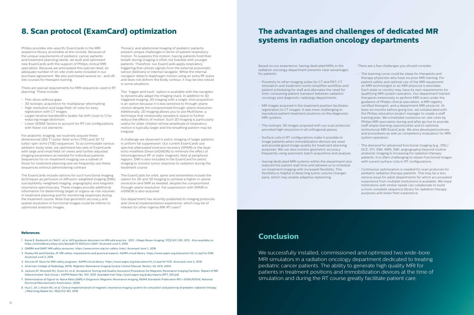## **8. Scan protocol (ExamCard) optimization The advantages and challenges of dedicated MR systems in radiation oncology departments**

### **Conclusion**

Philips provides site-specific ExamCards in the MRI sequence library accessible at the console. Because of the unique requirements of pediatric cancer patients and treatment planning needs, we built and optimized new ExamCards with the support of Philips clinical MRI specialists. Because we anticipated this special need, an adequate number of on-site visits were included in our purchase agreement. We also purchased several on- and offsite courses for therapist training.

There are special requirements for MRI sequences used in RT planning. These include:

- Thin slices without gaps
- 3D isotropic acquisition for multiplanar reformatting
- High resolution and large field-of-view for easy registration with CT images
- Larger receiver bandwidths (water-fat shift close to 1) for reducing image distortion
- Lower SENSE factors to account for RT coil configurations with fewer coil elements

For anatomic imaging, we routinely acquire threedimensional (3D) T1 turbo-field-echo (TFE) and 3D T2 turbo-spin-echo (TSE) sequences. To accommodate various pediatric body sizes, we optimized two sets of ExamCards with large and small field-of-views and further adjusted imaging parameters as needed for individual patients. Sequences for on-treatment imaging use a subset of those for treatment planning and we frequently use these sequences without administering contrast.

The ExamCards include options for such functional imaging techniques as perfusion or diffusion-weighted imaging (DWI), susceptibility-weighted imaging, angiography and magnetic resonance spectroscopy. These images provide additional information for determining target or organs-at-risk volumes in treatment planning and for monitoring responses during the treatment course. Note that geometric accuracy and spatial resolution in functional images could be inferior to optimized anatomic images.

Our department has recently published its imaging protocols and clinical implementation experience, which may be of interest for other Ingenia MR-RT users<sup>8</sup>.

Thoracic and abdominal imaging of pediatric patients present unique challenges in terms of patient respiratory motion. To suppress this motion, having patients hold their breath during imaging is often not feasible with younger patients. Therefore, our ExamCards apply respiratory triggering that utilizes signals from the external pneumatic sensor (bellows) or internal navigator. While the internal navigator detects diaphragm motion using an extra RF pulse and does not deform the body contour, it may be less robust in some situations.

The "trigger and track" option is available with the navigator to dynamically adapt the imaging stack. In addition to 3D triggered imaging, 2D imaging with a single-shot acquisition is an option because it is less sensitive to through-plane motion despite the compromised through-plane resolution. Additionally, 2D imaging allows you to use MultiVane, a technique that rotationally samples k-space to further reduce the effects of motion. Such 2D imaging is particularly useful for older children whose amplitude of respiratory motion is typically larger and the breathing pattern may be irregular.

A challenge we observed in pelvic imaging of larger patients is uniform fat suppression. Our current ExamCards use spectral attenuated inversion recovery (SPAIR) or the dualecho modified-Dixon (mDIXON) to minimize the effect of inhomogeneous RF or static magnetic field at peripheral regions. DWI is also included in the ExamCard for pelvic imaging to monitor tumor response to radiation during the treatment course.

> We successfully installed, commissioned and optimized two wide-bore MRI simulators in a radiation oncology department dedicated to treating pediatric cancer patients. The ability to generate high quality MRI for patients in treatment positions and immobilization devices at the time of simulation and during the RT course greatly facilitate patient care.

The ExamCards for orbit, spine and extremities include the option for 2D and 3D imaging to achieve a higher in-plane resolution and SNR as needed, despite the compromised through-plane resolution. Fat suppression with SPAIR or mDIXON is also acquired.

Based on our experience, having dedicated MRIs in the radiation oncology department presents clear advantages for patients:

- Proximity to other imaging suites for CT and PET-CT simulation and treatment rooms simplifies workflow and patient scheduling for staff and alleviates the need for time-consuming patient transport between radiation oncology and diagnostic radiology departments.
- MR images acquired in the treatment position facilitates registration to CT images. It was more challenging to reproduce patient treatment positions on the diagnostic MRI systems.
- The isotropic 3D images acquired with our scan protocols provided high resolution in all orthogonal planes.
- Surface coils in RT configurations make it possible to image patients when immobilization devices are used and provide good image quality for treatment planning purposes. We can also monitor geometric accuracy frequently using automatic batch acquisition and analysis.
- Having dedicated MRI systems within the department also reduced the patient wait time and allowed us to schedule on-treatment imaging with increased flexibility. This flexibility is helpful in detecting tumor volume changes early, which may enable adaptive replanning.

There are a few challenges you should consider:

- The learning curve could be steep for therapists and therapy physicists who have no prior MRI training. For patient safety and optimal use of the MRI equipment, an MRI technologist or an MRI physicist is desirable. Each state or country may have its own requirements for qualifying MRI system operators. Our department trained therapists extensively to perform MRI scans under the guidance of Philips clinical specialists, a MRI registry certified therapist, and a department MRI physicist. At least six months before going live, we collaborated with the Philips education project manager to create a staff training plan. We scheduled numerous on-site visits by Philips MRI specialists during and after go live to provide staff ample learning opportunities and to optimize institutional MRI ExamCards. We also developed policies and procedures as well as competency evaluation for MRI system operators.
- The demand for advanced functional imaging (e.g., DSC/ DCE, DTI, DWI, MRS, SWI, angiography) beyond routine anatomic imaging is increasing for radiation therapy patients. It is often challenging to obtain functional images with current surface coils in RT configurations.
- Continuous optimization is needed for scan protocols for pediatric radiation therapy patients. This may be a less serious issue for adult departments for which accumulated experience from multiple institutions is available. We hope institutions with similar needs can collaborate to build a more complete sequence library for radiation therapy purposes and share their experience.

#### **References:**

- 1. Kanal E, Barkovich AJ, Bell C, et al. ACR guidance document on MR safe practice : 2013. J Magn Reson Imaging. 37(3):501-530, 2013. Also available on https://onlinelibrary.wiley.com/doi/pdf/10.1002/jmri.24011. Accessed June 5, 2018.
- 2. ISMRM and SMRT MR safety resources. https://www.ismrm.org/mr-safety-links/. Accessed June 5, 2018.
- 3. Pooley RA and Felmlee JP. MR safety: requirements and practical aspects. AAPM virtual library. https://www.aapm.org/education/VL/vl.asp?id=3198. Accessed June 5, 2018.
- 4. Amurao M. Basis for MRI safety programs. AAPM virtual library. https://www.aapm.org/education/VL/vl.asp?id=11125. Accessed June 5, 2018.
- 5. American College of Radiology (ACR). Magnetic Resonance Imaging Quality Control Manual. Reston, VA: ACR, 2004.
- 6. Jackson EF, Bronskill MJ, Drost DJ, et al. Acceptance Testing and Quality Assurance Procedures for Magnetic Resonance Imaging Facilities. Report of MR Subcommittee Task Group I. AAPM Report No. 100. 2010. Available from http://www.aapm.org/pubs/reports/RPT\_100.pdf.
- 7. Determination of Signal-to-Noise Ratio (SNR) in Diagnostic Magnetic Resonance Imaging, NEMA Standards Publication MS 1-2008 (R2014), National Electrical Manufacturers Association, 2008.
- 8. Hua C, Uh J, Krasin MJ, et al. Clinical implementation of magnetic resonance imaging systems for simulation and planning of pediatric radiation therapy. J Med Imag Radiat Sci. 49(2):153-163, 2018.